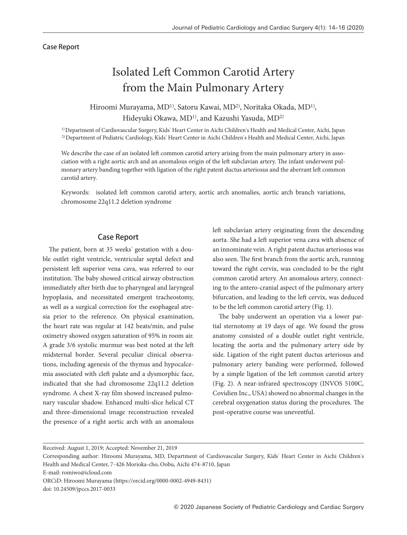## Case Report

# Isolated Left Common Carotid Artery from the Main Pulmonary Artery

Hiroomi Murayama, MD<sup>1)</sup>, Satoru Kawai, MD<sup>2)</sup>, Noritaka Okada, MD<sup>1)</sup>, Hideyuki Okawa, MD1) , and Kazushi Yasuda, MD2)

1) Department of Cardiovascular Surgery, Kids' Heart Center in Aichi Children's Health and Medical Center, Aichi, Japan 2) Department of Pediatric Cardiology, Kids' Heart Center in Aichi Children's Health and Medical Center, Aichi, Japan

We describe the case of an isolated left common carotid artery arising from the main pulmonary artery in association with a right aortic arch and an anomalous origin of the left subclavian artery. The infant underwent pulmonary artery banding together with ligation of the right patent ductus arteriosus and the aberrant left common carotid artery.

Keywords: isolated left common carotid artery, aortic arch anomalies, aortic arch branch variations, chromosome 22q11.2 deletion syndrome

## Case Report

The patient, born at 35 weeks' gestation with a double outlet right ventricle, ventricular septal defect and persistent left superior vena cava, was referred to our institution. The baby showed critical airway obstruction immediately after birth due to pharyngeal and laryngeal hypoplasia, and necessitated emergent tracheostomy, as well as a surgical correction for the esophageal atresia prior to the reference. On physical examination, the heart rate was regular at 142 beats/min, and pulse oximetry showed oxygen saturation of 95% in room air. A grade 3/6 systolic murmur was best noted at the left midsternal border. Several peculiar clinical observations, including agenesis of the thymus and hypocalcemia associated with cleft palate and a dysmorphic face, indicated that she had chromosome 22q11.2 deletion syndrome. A chest X-ray film showed increased pulmonary vascular shadow. Enhanced multi-slice helical CT and three-dimensional image reconstruction revealed the presence of a right aortic arch with an anomalous left subclavian artery originating from the descending aorta. She had a left superior vena cava with absence of an innominate vein. A right patent ductus arteriosus was also seen. The first branch from the aortic arch, running toward the right cervix, was concluded to be the right common carotid artery. An anomalous artery, connecting to the antero-cranial aspect of the pulmonary artery bifurcation, and leading to the left cervix, was deduced to be the left common carotid artery (Fig. 1).

The baby underwent an operation via a lower partial sternotomy at 19 days of age. We found the gross anatomy consisted of a double outlet right ventricle, locating the aorta and the pulmonary artery side by side. Ligation of the right patent ductus arteriosus and pulmonary artery banding were performed, followed by a simple ligation of the left common carotid artery (Fig. 2). A near-infrared spectroscopy (INVOS 5100C, Covidien Inc., USA) showed no abnormal changes in the cerebral oxygenation status during the procedures. The post-operative course was uneventful.

Received: August 1, 2019; Accepted: November 21, 2019

E-mail: romiwo@icloud.com

ORCiD: Hiroomi Murayama (https://orcid.org/0000-0002-4949-8431)

Corresponding author: Hiroomi Murayama, MD, Department of Cardiovascular Surgery, Kids' Heart Center in Aichi Children's Health and Medical Center, 7-426 Morioka-cho, Oobu, Aichi 474-8710, Japan

doi: 10.24509/jpccs.2017-0033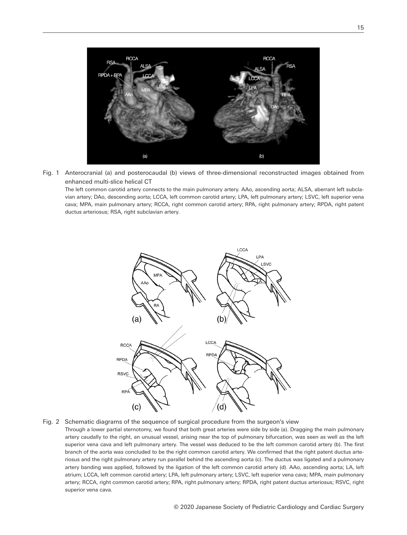

Fig. 1 Anterocranial (a) and posterocaudal (b) views of three-dimensional reconstructed images obtained from enhanced multi-slice helical CT

The left common carotid artery connects to the main pulmonary artery. AAo, ascending aorta; ALSA, aberrant left subclavian artery; DAo, descending aorta; LCCA, left common carotid artery; LPA, left pulmonary artery; LSVC, left superior vena cava; MPA, main pulmonary artery; RCCA, right common carotid artery; RPA, right pulmonary artery; RPDA, right patent ductus arteriosus; RSA, right subclavian artery.



Fig. 2 Schematic diagrams of the sequence of surgical procedure from the surgeon's view

Through a lower partial sternotomy, we found that both great arteries were side by side (a). Dragging the main pulmonary artery caudally to the right, an unusual vessel, arising near the top of pulmonary bifurcation, was seen as well as the left superior vena cava and left pulmonary artery. The vessel was deduced to be the left common carotid artery (b). The first branch of the aorta was concluded to be the right common carotid artery. We confirmed that the right patent ductus arteriosus and the right pulmonary artery run parallel behind the ascending aorta (c). The ductus was ligated and a pulmonary artery banding was applied, followed by the ligation of the left common carotid artery (d). AAo, ascending aorta; LA, left atrium; LCCA, left common carotid artery; LPA, left pulmonary artery; LSVC, left superior vena cava; MPA, main pulmonary artery; RCCA, right common carotid artery; RPA, right pulmonary artery; RPDA, right patent ductus arteriosus; RSVC, right superior vena cava.